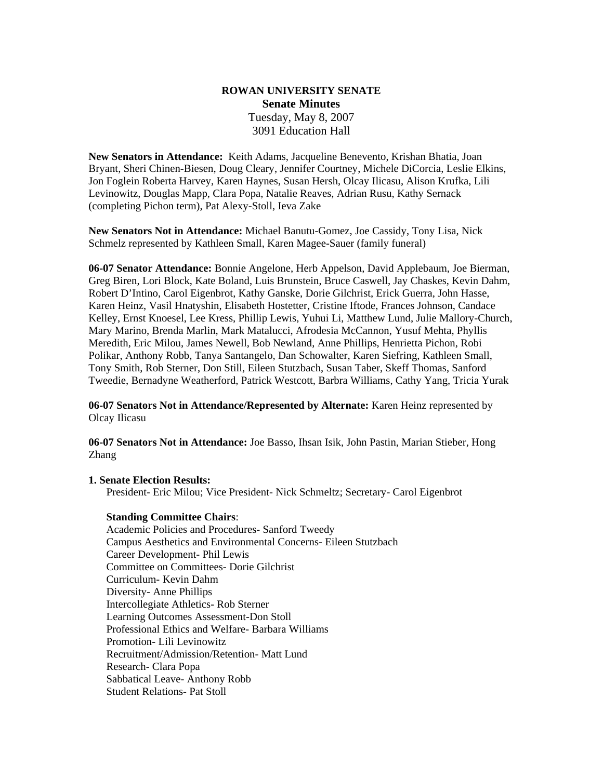#### **ROWAN UNIVERSITY SENATE Senate Minutes**  Tuesday, May 8, 2007 3091 Education Hall

**New Senators in Attendance:** Keith Adams, Jacqueline Benevento, Krishan Bhatia, Joan Bryant, Sheri Chinen-Biesen, Doug Cleary, Jennifer Courtney, Michele DiCorcia, Leslie Elkins, Jon Foglein Roberta Harvey, Karen Haynes, Susan Hersh, Olcay Ilicasu, Alison Krufka, Lili Levinowitz, Douglas Mapp, Clara Popa, Natalie Reaves, Adrian Rusu, Kathy Sernack (completing Pichon term), Pat Alexy-Stoll, Ieva Zake

**New Senators Not in Attendance:** Michael Banutu-Gomez, Joe Cassidy, Tony Lisa, Nick Schmelz represented by Kathleen Small, Karen Magee-Sauer (family funeral)

**06-07 Senator Attendance:** Bonnie Angelone, Herb Appelson, David Applebaum, Joe Bierman, Greg Biren, Lori Block, Kate Boland, Luis Brunstein, Bruce Caswell, Jay Chaskes, Kevin Dahm, Robert D'Intino, Carol Eigenbrot, Kathy Ganske, Dorie Gilchrist, Erick Guerra, John Hasse, Karen Heinz, Vasil Hnatyshin, Elisabeth Hostetter, Cristine Iftode, Frances Johnson, Candace Kelley, Ernst Knoesel, Lee Kress, Phillip Lewis, Yuhui Li, Matthew Lund, Julie Mallory-Church, Mary Marino, Brenda Marlin, Mark Matalucci, Afrodesia McCannon, Yusuf Mehta, Phyllis Meredith, Eric Milou, James Newell, Bob Newland, Anne Phillips, Henrietta Pichon, Robi Polikar, Anthony Robb, Tanya Santangelo, Dan Schowalter, Karen Siefring, Kathleen Small, Tony Smith, Rob Sterner, Don Still, Eileen Stutzbach, Susan Taber, Skeff Thomas, Sanford Tweedie, Bernadyne Weatherford, Patrick Westcott, Barbra Williams, Cathy Yang, Tricia Yurak

**06-07 Senators Not in Attendance/Represented by Alternate:** Karen Heinz represented by Olcay Ilicasu

**06-07 Senators Not in Attendance:** Joe Basso, Ihsan Isik, John Pastin, Marian Stieber, Hong Zhang

#### **1. Senate Election Results:**

President- Eric Milou; Vice President- Nick Schmeltz; Secretary- Carol Eigenbrot

#### **Standing Committee Chairs**:

Academic Policies and Procedures- Sanford Tweedy Campus Aesthetics and Environmental Concerns- Eileen Stutzbach Career Development- Phil Lewis Committee on Committees- Dorie Gilchrist Curriculum- Kevin Dahm Diversity- Anne Phillips Intercollegiate Athletics- Rob Sterner Learning Outcomes Assessment-Don Stoll Professional Ethics and Welfare- Barbara Williams Promotion- Lili Levinowitz Recruitment/Admission/Retention- Matt Lund Research- Clara Popa Sabbatical Leave- Anthony Robb Student Relations- Pat Stoll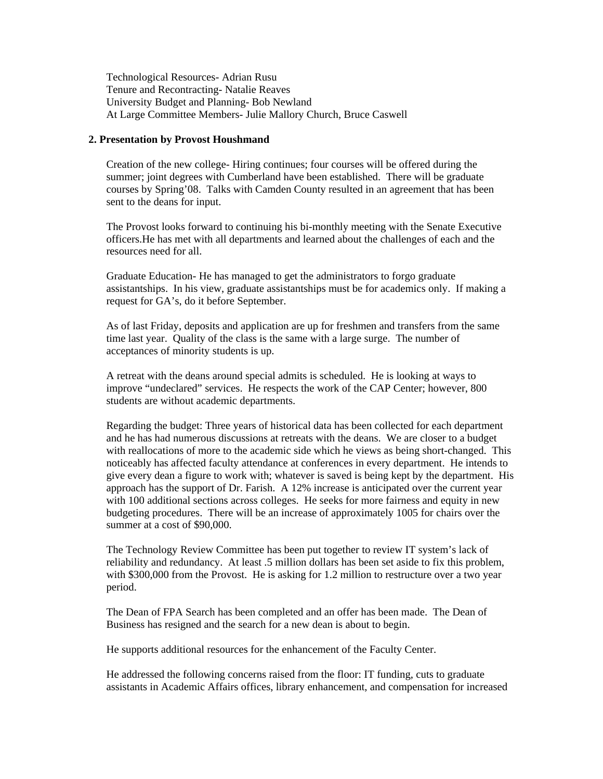Technological Resources- Adrian Rusu Tenure and Recontracting- Natalie Reaves University Budget and Planning- Bob Newland At Large Committee Members- Julie Mallory Church, Bruce Caswell

#### **2. Presentation by Provost Houshmand**

Creation of the new college- Hiring continues; four courses will be offered during the summer; joint degrees with Cumberland have been established. There will be graduate courses by Spring'08. Talks with Camden County resulted in an agreement that has been sent to the deans for input.

The Provost looks forward to continuing his bi-monthly meeting with the Senate Executive officers.He has met with all departments and learned about the challenges of each and the resources need for all.

Graduate Education- He has managed to get the administrators to forgo graduate assistantships. In his view, graduate assistantships must be for academics only. If making a request for GA's, do it before September.

As of last Friday, deposits and application are up for freshmen and transfers from the same time last year. Quality of the class is the same with a large surge. The number of acceptances of minority students is up.

A retreat with the deans around special admits is scheduled. He is looking at ways to improve "undeclared" services. He respects the work of the CAP Center; however, 800 students are without academic departments.

Regarding the budget: Three years of historical data has been collected for each department and he has had numerous discussions at retreats with the deans. We are closer to a budget with reallocations of more to the academic side which he views as being short-changed. This noticeably has affected faculty attendance at conferences in every department. He intends to give every dean a figure to work with; whatever is saved is being kept by the department. His approach has the support of Dr. Farish. A 12% increase is anticipated over the current year with 100 additional sections across colleges. He seeks for more fairness and equity in new budgeting procedures. There will be an increase of approximately 1005 for chairs over the summer at a cost of \$90,000.

The Technology Review Committee has been put together to review IT system's lack of reliability and redundancy. At least .5 million dollars has been set aside to fix this problem, with \$300,000 from the Provost. He is asking for 1.2 million to restructure over a two year period.

The Dean of FPA Search has been completed and an offer has been made. The Dean of Business has resigned and the search for a new dean is about to begin.

He supports additional resources for the enhancement of the Faculty Center.

He addressed the following concerns raised from the floor: IT funding, cuts to graduate assistants in Academic Affairs offices, library enhancement, and compensation for increased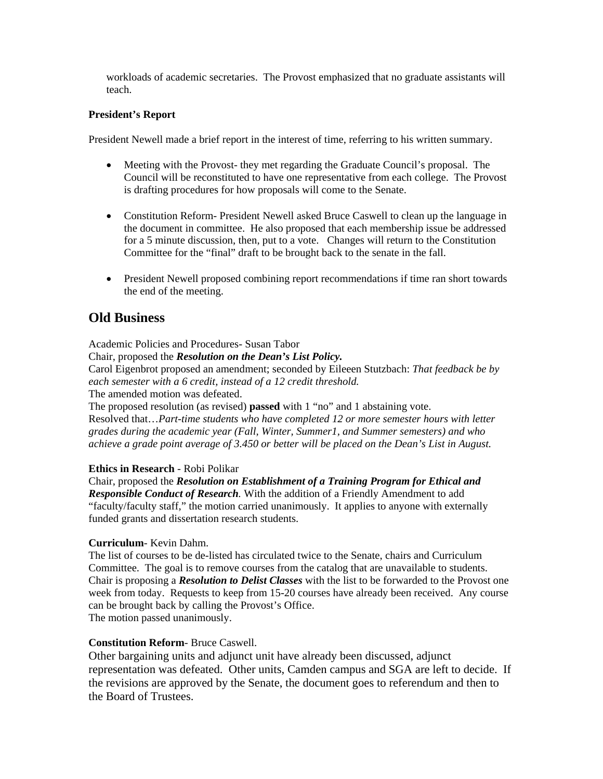workloads of academic secretaries. The Provost emphasized that no graduate assistants will teach.

#### **President's Report**

President Newell made a brief report in the interest of time, referring to his written summary.

- Meeting with the Provost- they met regarding the Graduate Council's proposal. The Council will be reconstituted to have one representative from each college. The Provost is drafting procedures for how proposals will come to the Senate.
- Constitution Reform- President Newell asked Bruce Caswell to clean up the language in the document in committee. He also proposed that each membership issue be addressed for a 5 minute discussion, then, put to a vote. Changes will return to the Constitution Committee for the "final" draft to be brought back to the senate in the fall.
- President Newell proposed combining report recommendations if time ran short towards the end of the meeting.

# **Old Business**

Academic Policies and Procedures- Susan Tabor Chair, proposed the *Resolution on the Dean's List Policy.*  Carol Eigenbrot proposed an amendment; seconded by Eileeen Stutzbach: *That feedback be by each semester with a 6 credit, instead of a 12 credit threshold.*  The amended motion was defeated.

The proposed resolution (as revised) **passed** with 1 "no" and 1 abstaining vote. Resolved that…*Part-time students who have completed 12 or more semester hours with letter grades during the academic year (Fall, Winter, Summer1, and Summer semesters) and who achieve a grade point average of 3.450 or better will be placed on the Dean's List in August.* 

#### **Ethics in Research** - Robi Polikar

Chair, proposed the *Resolution on Establishment of a Training Program for Ethical and Responsible Conduct of Research.* With the addition of a Friendly Amendment to add "faculty/faculty staff," the motion carried unanimously. It applies to anyone with externally funded grants and dissertation research students.

#### **Curriculum**- Kevin Dahm.

The list of courses to be de-listed has circulated twice to the Senate, chairs and Curriculum Committee. The goal is to remove courses from the catalog that are unavailable to students. Chair is proposing a *Resolution to Delist Classes* with the list to be forwarded to the Provost one week from today. Requests to keep from 15-20 courses have already been received. Any course can be brought back by calling the Provost's Office. The motion passed unanimously.

#### **Constitution Reform**- Bruce Caswell.

Other bargaining units and adjunct unit have already been discussed, adjunct representation was defeated. Other units, Camden campus and SGA are left to decide. If the revisions are approved by the Senate, the document goes to referendum and then to the Board of Trustees.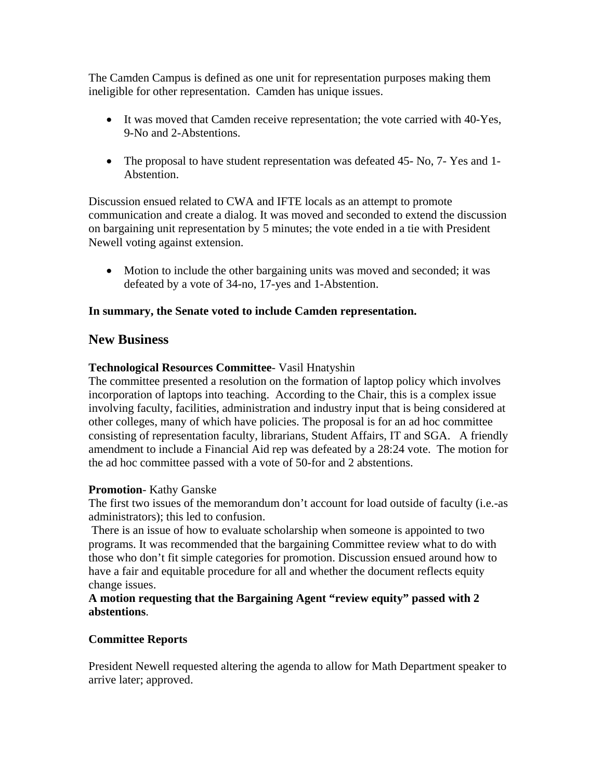The Camden Campus is defined as one unit for representation purposes making them ineligible for other representation. Camden has unique issues.

- It was moved that Camden receive representation; the vote carried with 40-Yes, 9-No and 2-Abstentions.
- The proposal to have student representation was defeated 45- No, 7- Yes and 1-Abstention.

Discussion ensued related to CWA and IFTE locals as an attempt to promote communication and create a dialog. It was moved and seconded to extend the discussion on bargaining unit representation by 5 minutes; the vote ended in a tie with President Newell voting against extension.

• Motion to include the other bargaining units was moved and seconded; it was defeated by a vote of 34-no, 17-yes and 1-Abstention.

### **In summary, the Senate voted to include Camden representation.**

# **New Business**

### **Technological Resources Committee**- Vasil Hnatyshin

The committee presented a resolution on the formation of laptop policy which involves incorporation of laptops into teaching. According to the Chair, this is a complex issue involving faculty, facilities, administration and industry input that is being considered at other colleges, many of which have policies. The proposal is for an ad hoc committee consisting of representation faculty, librarians, Student Affairs, IT and SGA. A friendly amendment to include a Financial Aid rep was defeated by a 28:24 vote. The motion for the ad hoc committee passed with a vote of 50-for and 2 abstentions.

#### **Promotion**- Kathy Ganske

The first two issues of the memorandum don't account for load outside of faculty (i.e.-as administrators); this led to confusion.

 There is an issue of how to evaluate scholarship when someone is appointed to two programs. It was recommended that the bargaining Committee review what to do with those who don't fit simple categories for promotion. Discussion ensued around how to have a fair and equitable procedure for all and whether the document reflects equity change issues.

**A motion requesting that the Bargaining Agent "review equity" passed with 2 abstentions**.

#### **Committee Reports**

President Newell requested altering the agenda to allow for Math Department speaker to arrive later; approved.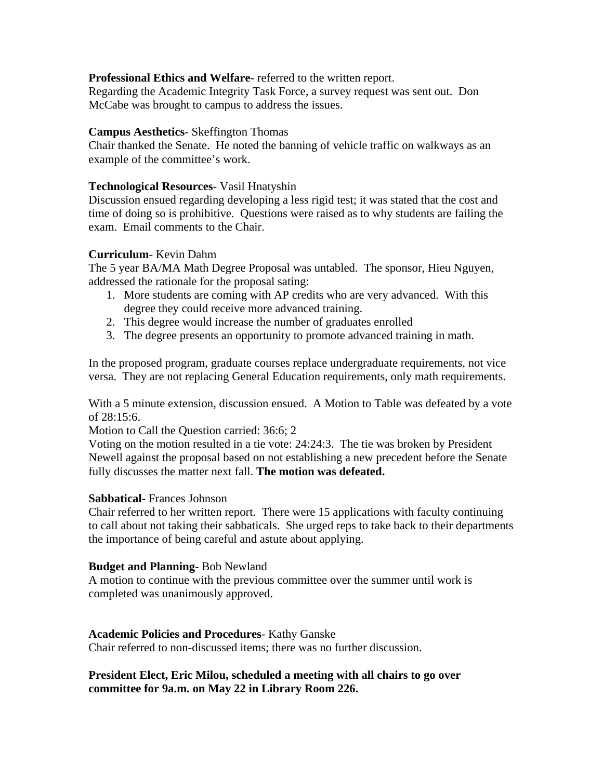#### **Professional Ethics and Welfare**- referred to the written report.

Regarding the Academic Integrity Task Force, a survey request was sent out. Don McCabe was brought to campus to address the issues.

#### **Campus Aesthetics**- Skeffington Thomas

Chair thanked the Senate. He noted the banning of vehicle traffic on walkways as an example of the committee's work.

### **Technological Resources**- Vasil Hnatyshin

Discussion ensued regarding developing a less rigid test; it was stated that the cost and time of doing so is prohibitive. Questions were raised as to why students are failing the exam. Email comments to the Chair.

### **Curriculum**- Kevin Dahm

The 5 year BA/MA Math Degree Proposal was untabled. The sponsor, Hieu Nguyen, addressed the rationale for the proposal sating:

- 1. More students are coming with AP credits who are very advanced. With this degree they could receive more advanced training.
- 2. This degree would increase the number of graduates enrolled
- 3. The degree presents an opportunity to promote advanced training in math.

In the proposed program, graduate courses replace undergraduate requirements, not vice versa. They are not replacing General Education requirements, only math requirements.

With a 5 minute extension, discussion ensued. A Motion to Table was defeated by a vote of 28:15:6.

Motion to Call the Question carried: 36:6; 2

Voting on the motion resulted in a tie vote: 24:24:3. The tie was broken by President Newell against the proposal based on not establishing a new precedent before the Senate fully discusses the matter next fall. **The motion was defeated.** 

#### **Sabbatical-** Frances Johnson

Chair referred to her written report. There were 15 applications with faculty continuing to call about not taking their sabbaticals. She urged reps to take back to their departments the importance of being careful and astute about applying.

#### **Budget and Planning**- Bob Newland

A motion to continue with the previous committee over the summer until work is completed was unanimously approved.

#### **Academic Policies and Procedures**- Kathy Ganske

Chair referred to non-discussed items; there was no further discussion.

**President Elect, Eric Milou, scheduled a meeting with all chairs to go over committee for 9a.m. on May 22 in Library Room 226.**